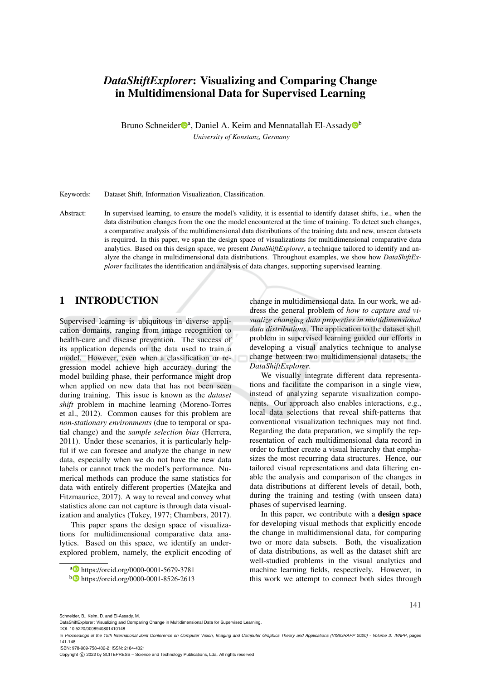# *DataShiftExplorer*: Visualizing and Comparing Change in Multidimensional Data for Supervised Learning

Bruno Schneider<sup>na</sup>, Daniel A. Keim and Mennatallah El-Assady<sup>n</sup>b *University of Konstanz, Germany*

Keywords: Dataset Shift, Information Visualization, Classification.

Abstract: In supervised learning, to ensure the model's validity, it is essential to identify dataset shifts, i.e., when the data distribution changes from the one the model encountered at the time of training. To detect such changes, a comparative analysis of the multidimensional data distributions of the training data and new, unseen datasets is required. In this paper, we span the design space of visualizations for multidimensional comparative data analytics. Based on this design space, we present *DataShiftExplorer*, a technique tailored to identify and analyze the change in multidimensional data distributions. Throughout examples, we show how *DataShiftExplorer* facilitates the identification and analysis of data changes, supporting supervised learning.

## 1 INTRODUCTION

Supervised learning is ubiquitous in diverse application domains, ranging from image recognition to health-care and disease prevention. The success of its application depends on the data used to train a model. However, even when a classification or regression model achieve high accuracy during the model building phase, their performance might drop when applied on new data that has not been seen during training. This issue is known as the *dataset shift* problem in machine learning (Moreno-Torres et al., 2012). Common causes for this problem are *non-stationary environments* (due to temporal or spatial change) and the *sample selection bias* (Herrera, 2011). Under these scenarios, it is particularly helpful if we can foresee and analyze the change in new data, especially when we do not have the new data labels or cannot track the model's performance. Numerical methods can produce the same statistics for data with entirely different properties (Matejka and Fitzmaurice, 2017). A way to reveal and convey what statistics alone can not capture is through data visualization and analytics (Tukey, 1977; Chambers, 2017).

This paper spans the design space of visualizations for multidimensional comparative data analytics. Based on this space, we identify an underexplored problem, namely, the explicit encoding of change in multidimensional data. In our work, we address the general problem of *how to capture and visualize changing data properties in multidimensional data distributions*. The application to the dataset shift problem in supervised learning guided our efforts in developing a visual analytics technique to analyse change between two multidimensional datasets, the *DataShiftExplorer*.

We visually integrate different data representations and facilitate the comparison in a single view, instead of analyzing separate visualization components. Our approach also enables interactions, e.g., local data selections that reveal shift-patterns that conventional visualization techniques may not find. Regarding the data preparation, we simplify the representation of each multidimensional data record in order to further create a visual hierarchy that emphasizes the most recurring data structures. Hence, our tailored visual representations and data filtering enable the analysis and comparison of the changes in data distributions at different levels of detail, both, during the training and testing (with unseen data) phases of supervised learning.

In this paper, we contribute with a design space for developing visual methods that explicitly encode the change in multidimensional data, for comparing two or more data subsets. Both, the visualization of data distributions, as well as the dataset shift are well-studied problems in the visual analytics and machine learning fields, respectively. However, in this work we attempt to connect both sides through

ISBN: 978-989-758-402-2; ISSN: 2184-4321

141

<sup>a</sup> https://orcid.org/0000-0001-5679-3781

<sup>b</sup> https://orcid.org/0000-0001-8526-2613

Schneider, B., Keim, D. and El-Assady, M.

DataShiftExplorer: Visualizing and Comparing Change in Multidimensional Data for Supervised Learning.

DOI: 10.5220/0008940801410148

In *Proceedings of the 15th International Joint Conference on Computer Vision, Imaging and Computer Graphics Theory and Applications (VISIGRAPP 2020) - Volume 3: IVAPP*, pages 141-148

Copyright © 2022 by SCITEPRESS - Science and Technology Publications, Lda. All rights reserved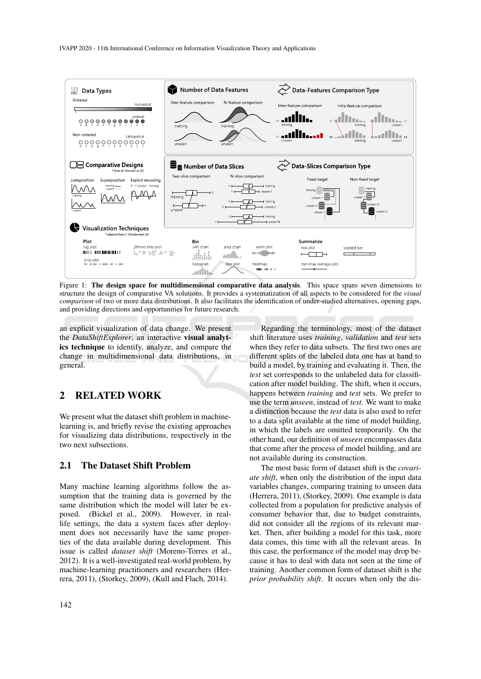

Figure 1: The design space for multidimensional comparative data analysis. This space spans seven dimensions to structure the design of comparative VA solutions. It provides a systematization of all aspects to be considered for the *visual comparison* of two or more data distributions. It also facilitates the identification of under-studied alternatives, opening gaps, and providing directions and opportunities for future research.

an explicit visualization of data change. We present the *DataShiftExplorer*, an interactive visual analytics technique to identify, analyze, and compare the change in multidimensional data distributions, in general.

## 2 RELATED WORK

We present what the dataset shift problem in machinelearning is, and briefly revise the existing approaches for visualizing data distributions, respectively in the two next subsections.

## 2.1 The Dataset Shift Problem

Many machine learning algorithms follow the assumption that the training data is governed by the same distribution which the model will later be exposed. (Bickel et al., 2009). However, in reallife settings, the data a system faces after deployment does not necessarily have the same properties of the data available during development. This issue is called *dataset shift* (Moreno-Torres et al., 2012). It is a well-investigated real-world problem, by machine-learning practitioners and researchers (Herrera, 2011), (Storkey, 2009), (Kull and Flach, 2014).

Regarding the terminology, most of the dataset shift literature uses *training*, *validation* and *test* sets when they refer to data subsets. The first two ones are different splits of the labeled data one has at hand to build a model, by training and evaluating it. Then, the *test* set corresponds to the unlabeled data for classification after model building. The shift, when it occurs, happens between *training* and *test* sets. We prefer to use the term *unseen*, instead of *test*. We want to make a distinction because the *test* data is also used to refer to a data split available at the time of model building, in which the labels are omitted temporarily. On the other hand, our definition of *unseen* encompasses data that come after the process of model building, and are not available during its construction.

The most basic form of dataset shift is the *covariate shift*, when only the distribution of the input data variables changes, comparing training to unseen data (Herrera, 2011), (Storkey, 2009). One example is data collected from a population for predictive analysis of consumer behavior that, due to budget constraints, did not consider all the regions of its relevant market. Then, after building a model for this task, more data comes, this time with all the relevant areas. In this case, the performance of the model may drop because it has to deal with data not seen at the time of training. Another common form of dataset shift is the *prior probability shift*. It occurs when only the dis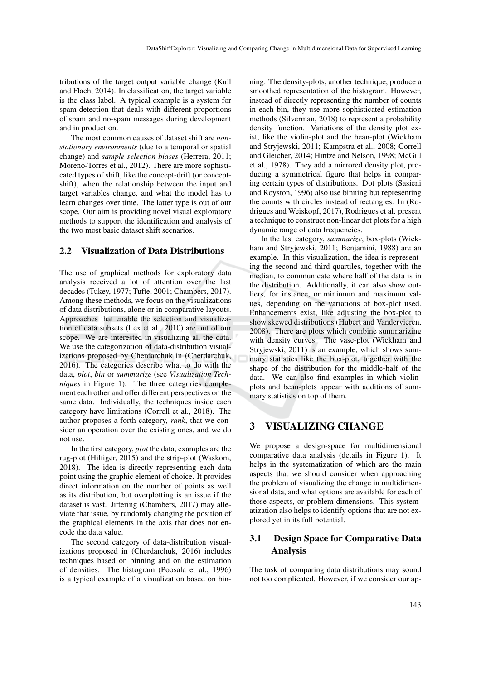tributions of the target output variable change (Kull and Flach, 2014). In classification, the target variable is the class label. A typical example is a system for spam-detection that deals with different proportions of spam and no-spam messages during development and in production.

The most common causes of dataset shift are *nonstationary environments* (due to a temporal or spatial change) and *sample selection biases* (Herrera, 2011; Moreno-Torres et al., 2012). There are more sophisticated types of shift, like the concept-drift (or conceptshift), when the relationship between the input and target variables change, and what the model has to learn changes over time. The latter type is out of our scope. Our aim is providing novel visual exploratory methods to support the identification and analysis of the two most basic dataset shift scenarios.

### 2.2 Visualization of Data Distributions

The use of graphical methods for exploratory data analysis received a lot of attention over the last decades (Tukey, 1977; Tufte, 2001; Chambers, 2017). Among these methods, we focus on the visualizations of data distributions, alone or in comparative layouts. Approaches that enable the selection and visualization of data subsets (Lex et al., 2010) are out of our scope. We are interested in visualizing all the data. We use the categorization of data-distribution visualizations proposed by Cherdarchuk in (Cherdarchuk, 2016). The categories describe what to do with the data, *plot*, *bin* or *summarize* (see *Visualization Techniques* in Figure 1). The three categories complement each other and offer different perspectives on the same data. Individually, the techniques inside each category have limitations (Correll et al., 2018). The author proposes a forth category, *rank*, that we consider an operation over the existing ones, and we do not use.

In the first category, *plot* the data, examples are the rug-plot (Hilfiger, 2015) and the strip-plot (Waskom, 2018). The idea is directly representing each data point using the graphic element of choice. It provides direct information on the number of points as well as its distribution, but overplotting is an issue if the dataset is vast. Jittering (Chambers, 2017) may alleviate that issue, by randomly changing the position of the graphical elements in the axis that does not encode the data value.

The second category of data-distribution visualizations proposed in (Cherdarchuk, 2016) includes techniques based on binning and on the estimation of densities. The histogram (Poosala et al., 1996) is a typical example of a visualization based on bin-

ning. The density-plots, another technique, produce a smoothed representation of the histogram. However, instead of directly representing the number of counts in each bin, they use more sophisticated estimation methods (Silverman, 2018) to represent a probability density function. Variations of the density plot exist, like the violin-plot and the bean-plot (Wickham and Stryjewski, 2011; Kampstra et al., 2008; Correll and Gleicher, 2014; Hintze and Nelson, 1998; McGill et al., 1978). They add a mirrored density plot, producing a symmetrical figure that helps in comparing certain types of distributions. Dot plots (Sasieni and Royston, 1996) also use binning but representing the counts with circles instead of rectangles. In (Rodrigues and Weiskopf, 2017), Rodrigues et al. present a technique to construct non-linear dot plots for a high dynamic range of data frequencies.

In the last category, *summarize*, box-plots (Wickham and Stryjewski, 2011; Benjamini, 1988) are an example. In this visualization, the idea is representing the second and third quartiles, together with the median, to communicate where half of the data is in the distribution. Additionally, it can also show outliers, for instance, or minimum and maximum values, depending on the variations of box-plot used. Enhancements exist, like adjusting the box-plot to show skewed distributions (Hubert and Vandervieren, 2008). There are plots which combine summarizing with density curves. The vase-plot (Wickham and Stryjewski, 2011) is an example, which shows summary statistics like the box-plot, together with the shape of the distribution for the middle-half of the data. We can also find examples in which violinplots and bean-plots appear with additions of summary statistics on top of them.

### 3 VISUALIZING CHANGE

We propose a design-space for multidimensional comparative data analysis (details in Figure 1). It helps in the systematization of which are the main aspects that we should consider when approaching the problem of visualizing the change in multidimensional data, and what options are available for each of those aspects, or problem dimensions. This systematization also helps to identify options that are not explored yet in its full potential.

## 3.1 Design Space for Comparative Data Analysis

The task of comparing data distributions may sound not too complicated. However, if we consider our ap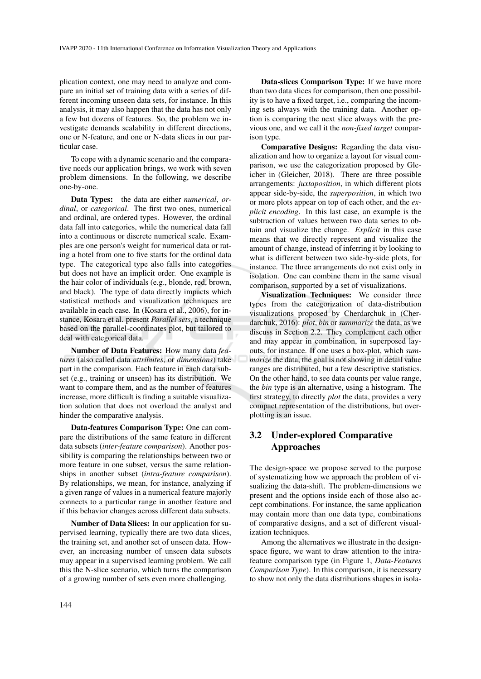plication context, one may need to analyze and compare an initial set of training data with a series of different incoming unseen data sets, for instance. In this analysis, it may also happen that the data has not only a few but dozens of features. So, the problem we investigate demands scalability in different directions, one or N-feature, and one or N-data slices in our particular case.

To cope with a dynamic scenario and the comparative needs our application brings, we work with seven problem dimensions. In the following, we describe one-by-one.

Data Types: the data are either *numerical*, *ordinal*, or *categorical*. The first two ones, numerical and ordinal, are ordered types. However, the ordinal data fall into categories, while the numerical data fall into a continuous or discrete numerical scale. Examples are one person's weight for numerical data or rating a hotel from one to five starts for the ordinal data type. The categorical type also falls into categories but does not have an implicit order. One example is the hair color of individuals (e.g., blonde, red, brown, and black). The type of data directly impacts which statistical methods and visualization techniques are available in each case. In (Kosara et al., 2006), for instance, Kosara et al. present *Parallel sets*, a technique based on the parallel-coordinates plot, but tailored to deal with categorical data.

Number of Data Features: How many data *features* (also called data *attributes*, or *dimensions*) take part in the comparison. Each feature in each data subset (e.g., training or unseen) has its distribution. We want to compare them, and as the number of features increase, more difficult is finding a suitable visualization solution that does not overload the analyst and hinder the comparative analysis.

Data-features Comparison Type: One can compare the distributions of the same feature in different data subsets (*inter-feature comparison*). Another possibility is comparing the relationships between two or more feature in one subset, versus the same relationships in another subset (*intra-feature comparison*). By relationships, we mean, for instance, analyzing if a given range of values in a numerical feature majorly connects to a particular range in another feature and if this behavior changes across different data subsets.

Number of Data Slices: In our application for supervised learning, typically there are two data slices, the training set, and another set of unseen data. However, an increasing number of unseen data subsets may appear in a supervised learning problem. We call this the N-slice scenario, which turns the comparison of a growing number of sets even more challenging.

ing sets always with the training data. Another option is comparing the next slice always with the previous one, and we call it the *non-fixed target* comparison type. Comparative Designs: Regarding the data visualization and how to organize a layout for visual comparison, we use the categorization proposed by Gle-

icher in (Gleicher, 2018). There are three possible arrangements: *juxtaposition*, in which different plots appear side-by-side, the *superposition*, in which two or more plots appear on top of each other, and the *explicit encoding*. In this last case, an example is the subtraction of values between two data series to obtain and visualize the change. *Explicit* in this case means that we directly represent and visualize the amount of change, instead of inferring it by looking to what is different between two side-by-side plots, for instance. The three arrangements do not exist only in isolation. One can combine them in the same visual comparison, supported by a set of visualizations.

Data-slices Comparison Type: If we have more than two data slices for comparison, then one possibility is to have a fixed target, i.e., comparing the incom-

Visualization Techniques: We consider three types from the categorization of data-distribution visualizations proposed by Cherdarchuk in (Cherdarchuk, 2016): *plot*, *bin* or *summarize* the data, as we discuss in Section 2.2. They complement each other and may appear in combination, in superposed layouts, for instance. If one uses a box-plot, which *summarize* the data, the goal is not showing in detail value ranges are distributed, but a few descriptive statistics. On the other hand, to see data counts per value range, the *bin* type is an alternative, using a histogram. The first strategy, to directly *plot* the data, provides a very compact representation of the distributions, but overplotting is an issue.

## 3.2 Under-explored Comparative Approaches

The design-space we propose served to the purpose of systematizing how we approach the problem of visualizing the data-shift. The problem-dimensions we present and the options inside each of those also accept combinations. For instance, the same application may contain more than one data type, combinations of comparative designs, and a set of different visualization techniques.

Among the alternatives we illustrate in the designspace figure, we want to draw attention to the intrafeature comparison type (in Figure 1, *Data-Features Comparison Type*). In this comparison, it is necessary to show not only the data distributions shapes in isola-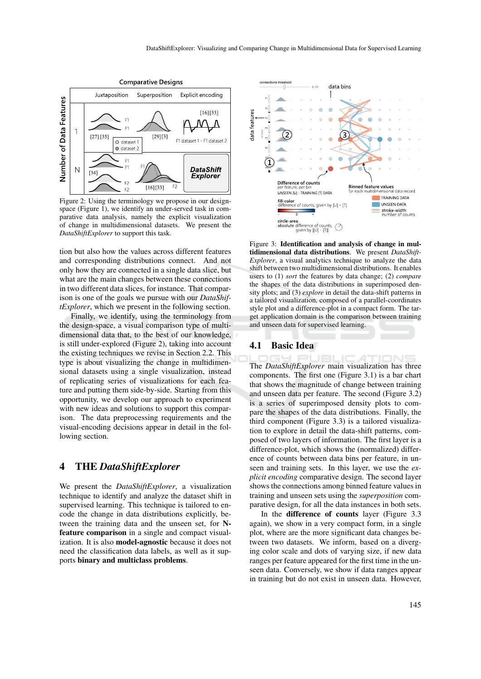

Figure 2: Using the terminology we propose in our designspace (Figure 1), we identify an under-served task in comparative data analysis, namely the explicit visualization of change in multidimensional datasets. We present the *DataShiftExplorer* to support this task.

tion but also how the values across different features and corresponding distributions connect. And not only how they are connected in a single data slice, but what are the main changes between these connections in two different data slices, for instance. That comparison is one of the goals we pursue with our *DataShiftExplorer*, which we present in the following section.

Finally, we identify, using the terminology from the design-space, a visual comparison type of multidimensional data that, to the best of our knowledge, is still under-explored (Figure 2), taking into account the existing techniques we revise in Section 2.2. This type is about visualizing the change in multidimensional datasets using a single visualization, instead of replicating series of visualizations for each feature and putting them side-by-side. Starting from this opportunity, we develop our approach to experiment with new ideas and solutions to support this comparison. The data preprocessing requirements and the visual-encoding decisions appear in detail in the following section.

### 4 THE *DataShiftExplorer*

We present the *DataShiftExplorer*, a visualization technique to identify and analyze the dataset shift in supervised learning. This technique is tailored to encode the change in data distributions explicitly, between the training data and the unseen set, for Nfeature comparison in a single and compact visualization. It is also model-agnostic because it does not need the classification data labels, as well as it supports binary and multiclass problems.



Figure 3: Identification and analysis of change in multidimensional data distributions. We present *DataShift-Explorer*, a visual analytics technique to analyze the data shift between two multidimensional distributions. It enables users to (1) *sort* the features by data change; (2) *compare* the shapes of the data distributions in superimposed density plots; and (3) *explore* in detail the data-shift patterns in a tailored visualization, composed of a parallel-coordinates style plot and a difference-plot in a compact form. The target application domain is the comparison between training and unseen data for supervised learning.

#### 4.1 Basic Idea

The *DataShiftExplorer* main visualization has three components. The first one (Figure 3.1) is a bar chart that shows the magnitude of change between training and unseen data per feature. The second (Figure 3.2) is a series of superimposed density plots to compare the shapes of the data distributions. Finally, the third component (Figure 3.3) is a tailored visualization to explore in detail the data-shift patterns, composed of two layers of information. The first layer is a difference-plot, which shows the (normalized) difference of counts between data bins per feature, in unseen and training sets. In this layer, we use the *explicit encoding* comparative design. The second layer shows the connections among binned feature values in training and unseen sets using the *superposition* comparative design, for all the data instances in both sets.

In the difference of counts layer (Figure 3.3 again), we show in a very compact form, in a single plot, where are the more significant data changes between two datasets. We inform, based on a diverging color scale and dots of varying size, if new data ranges per feature appeared for the first time in the unseen data. Conversely, we show if data ranges appear in training but do not exist in unseen data. However,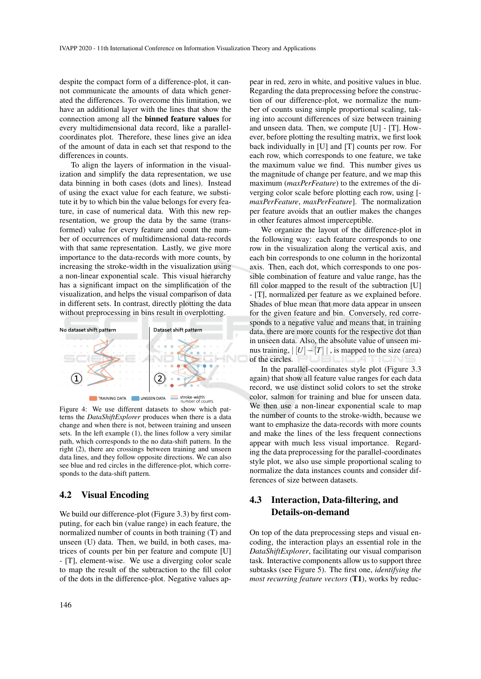despite the compact form of a difference-plot, it cannot communicate the amounts of data which generated the differences. To overcome this limitation, we have an additional layer with the lines that show the connection among all the binned feature values for every multidimensional data record, like a parallelcoordinates plot. Therefore, these lines give an idea of the amount of data in each set that respond to the differences in counts.

To align the layers of information in the visualization and simplify the data representation, we use data binning in both cases (dots and lines). Instead of using the exact value for each feature, we substitute it by to which bin the value belongs for every feature, in case of numerical data. With this new representation, we group the data by the same (transformed) value for every feature and count the number of occurrences of multidimensional data-records with that same representation. Lastly, we give more importance to the data-records with more counts, by increasing the stroke-width in the visualization using a non-linear exponential scale. This visual hierarchy has a significant impact on the simplification of the visualization, and helps the visual comparison of data in different sets. In contrast, directly plotting the data without preprocessing in bins result in overplotting.



Figure 4: We use different datasets to show which patterns the *DataShiftExplorer* produces when there is a data change and when there is not, between training and unseen sets. In the left example (1), the lines follow a very similar path, which corresponds to the no data-shift pattern. In the right (2), there are crossings between training and unseen data lines, and they follow opposite directions. We can also see blue and red circles in the difference-plot, which corresponds to the data-shift pattern.

#### 4.2 Visual Encoding

We build our difference-plot (Figure 3.3) by first computing, for each bin (value range) in each feature, the normalized number of counts in both training (T) and unseen (U) data. Then, we build, in both cases, matrices of counts per bin per feature and compute [U] - [T], element-wise. We use a diverging color scale to map the result of the subtraction to the fill color of the dots in the difference-plot. Negative values ap-

pear in red, zero in white, and positive values in blue. Regarding the data preprocessing before the construction of our difference-plot, we normalize the number of counts using simple proportional scaling, taking into account differences of size between training and unseen data. Then, we compute [U] - [T]. However, before plotting the resulting matrix, we first look back individually in [U] and [T] counts per row. For each row, which corresponds to one feature, we take the maximum value we find. This number gives us the magnitude of change per feature, and we map this maximum (*maxPerFeature*) to the extremes of the diverging color scale before plotting each row, using [ *maxPerFeature*, *maxPerFeature*]. The normalization per feature avoids that an outlier makes the changes in other features almost imperceptible.

We organize the layout of the difference-plot in the following way: each feature corresponds to one row in the visualization along the vertical axis, and each bin corresponds to one column in the horizontal axis. Then, each dot, which corresponds to one possible combination of feature and value range, has the fill color mapped to the result of the subtraction [U] - [T], normalized per feature as we explained before. Shades of blue mean that more data appear in unseen for the given feature and bin. Conversely, red corresponds to a negative value and means that, in training data, there are more counts for the respective dot than in unseen data. Also, the absolute value of unseen minus training,  $\vert U \vert - \vert T \vert \vert$ , is mapped to the size (area) of the circles. ATIONS

In the parallel-coordinates style plot (Figure 3.3 again) that show all feature value ranges for each data record, we use distinct solid colors to set the stroke color, salmon for training and blue for unseen data. We then use a non-linear exponential scale to map the number of counts to the stroke-width, because we want to emphasize the data-records with more counts and make the lines of the less frequent connections appear with much less visual importance. Regarding the data preprocessing for the parallel-coordinates style plot, we also use simple proportional scaling to normalize the data instances counts and consider differences of size between datasets.

## 4.3 Interaction, Data-filtering, and Details-on-demand

On top of the data preprocessing steps and visual encoding, the interaction plays an essential role in the *DataShiftExplorer*, facilitating our visual comparison task. Interactive components allow us to support three subtasks (see Figure 5). The first one, *identifying the most recurring feature vectors* (T1), works by reduc-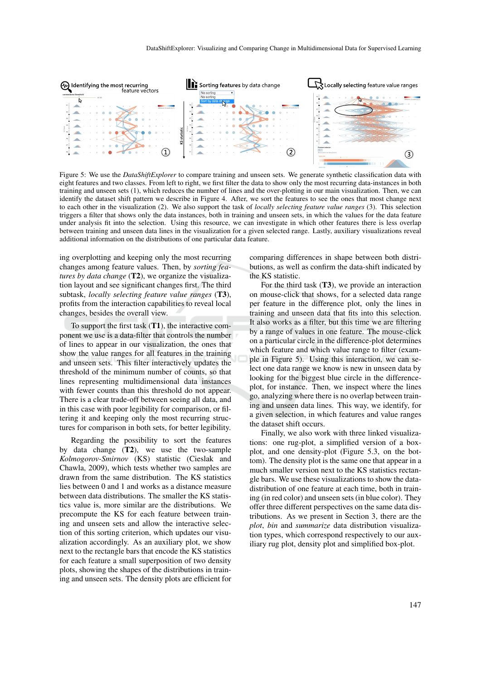

Figure 5: We use the *DataShiftExplorer* to compare training and unseen sets. We generate synthetic classification data with eight features and two classes. From left to right, we first filter the data to show only the most recurring data-instances in both training and unseen sets (1), which reduces the number of lines and the over-plotting in our main visualization. Then, we can identify the dataset shift pattern we describe in Figure 4. After, we sort the features to see the ones that most change next to each other in the visualization (2). We also support the task of *locally selecting feature value ranges* (3). This selection triggers a filter that shows only the data instances, both in training and unseen sets, in which the values for the data feature under analysis fit into the selection. Using this resource, we can investigate in which other features there is less overlap between training and unseen data lines in the visualization for a given selected range. Lastly, auxiliary visualizations reveal additional information on the distributions of one particular data feature.

ing overplotting and keeping only the most recurring changes among feature values. Then, by *sorting features by data change* (T2), we organize the visualization layout and see significant changes first. The third subtask, *locally selecting feature value ranges* (T3), profits from the interaction capabilities to reveal local changes, besides the overall view.

To support the first task  $(T1)$ , the interactive component we use is a data-filter that controls the number of lines to appear in our visualization, the ones that show the value ranges for all features in the training and unseen sets. This filter interactively updates the threshold of the minimum number of counts, so that lines representing multidimensional data instances with fewer counts than this threshold do not appear. There is a clear trade-off between seeing all data, and in this case with poor legibility for comparison, or filtering it and keeping only the most recurring structures for comparison in both sets, for better legibility.

Regarding the possibility to sort the features by data change  $(T2)$ , we use the two-sample *Kolmogorov-Smirnov* (KS) statistic (Cieslak and Chawla, 2009), which tests whether two samples are drawn from the same distribution. The KS statistics lies between 0 and 1 and works as a distance measure between data distributions. The smaller the KS statistics value is, more similar are the distributions. We precompute the KS for each feature between training and unseen sets and allow the interactive selection of this sorting criterion, which updates our visualization accordingly. As an auxiliary plot, we show next to the rectangle bars that encode the KS statistics for each feature a small superposition of two density plots, showing the shapes of the distributions in training and unseen sets. The density plots are efficient for

comparing differences in shape between both distributions, as well as confirm the data-shift indicated by the KS statistic.

For the third task  $(T3)$ , we provide an interaction on mouse-click that shows, for a selected data range per feature in the difference plot, only the lines in training and unseen data that fits into this selection. It also works as a filter, but this time we are filtering by a range of values in one feature. The mouse-click on a particular circle in the difference-plot determines which feature and which value range to filter (example in Figure 5). Using this interaction, we can select one data range we know is new in unseen data by looking for the biggest blue circle in the differenceplot, for instance. Then, we inspect where the lines go, analyzing where there is no overlap between training and unseen data lines. This way, we identify, for a given selection, in which features and value ranges the dataset shift occurs.

Finally, we also work with three linked visualizations: one rug-plot, a simplified version of a boxplot, and one density-plot (Figure 5.3, on the bottom). The density plot is the same one that appear in a much smaller version next to the KS statistics rectangle bars. We use these visualizations to show the datadistribution of one feature at each time, both in training (in red color) and unseen sets (in blue color). They offer three different perspectives on the same data distributions. As we present in Section 3, there are the *plot*, *bin* and *summarize* data distribution visualization types, which correspond respectively to our auxiliary rug plot, density plot and simplified box-plot.